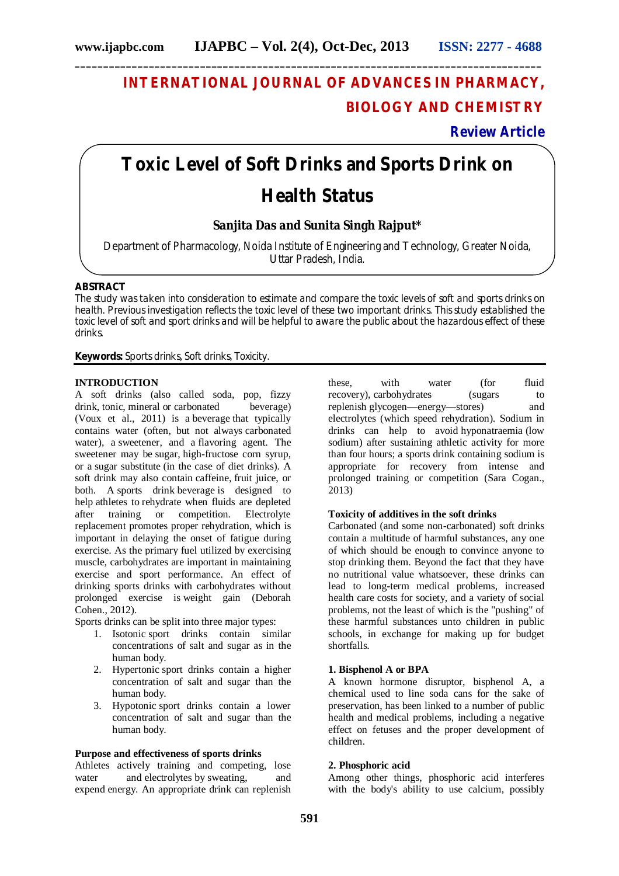**\_\_\_\_\_\_\_\_\_\_\_\_\_\_\_\_\_\_\_\_\_\_\_\_\_\_\_\_\_\_\_\_\_\_\_\_\_\_\_\_\_\_\_\_\_\_\_\_\_\_\_\_\_\_\_\_\_\_\_\_\_\_\_\_\_\_\_\_\_\_\_\_\_\_\_\_\_\_\_\_\_\_**

## **INTERNATIONAL JOURNAL OF ADVANCES IN PHARMACY, BIOLOGY AND CHEMISTRY**

## **Review Article**

# **Toxic Level of Soft Drinks and Sports Drink on Health Status**

### **Sanjita Das and Sunita Singh Rajput\***

Department of Pharmacology, Noida Institute of Engineering and Technology, Greater Noida, Uttar Pradesh, India.

#### **ABSTRACT**

The study was taken into consideration to estimate and compare the toxic levels of soft and sports drinks on health. Previous investigation reflects the toxic level of these two important drinks. This study established the toxic level of soft and sport drinks and will be helpful to aware the public about the hazardous effect of these drinks.

**Keywords:** Sports drinks, Soft drinks, Toxicity.

#### **INTRODUCTION**

A soft drinks (also called soda, pop, fizzy drink, tonic, mineral or carbonated beverage) (Voux et al., 2011) is a beverage that typically contains water (often, but not always carbonated water), a sweetener, and a flavoring agent. The sweetener may be sugar, high-fructose corn syrup, or a sugar substitute (in the case of diet drinks). A soft drink may also contain caffeine, fruit juice, or both. A sports drink beverage is designed to help athletes to rehydrate when fluids are depleted after training or competition. Electrolyte replacement promotes proper rehydration, which is important in delaying the onset of fatigue during exercise. As the primary fuel utilized by exercising muscle, carbohydrates are important in maintaining exercise and sport performance. An effect of drinking sports drinks with carbohydrates without prolonged exercise is weight gain (Deborah Cohen., 2012).

Sports drinks can be split into three major types:

- 1. Isotonic sport drinks contain similar concentrations of salt and sugar as in the human body.
- 2. Hypertonic sport drinks contain a higher concentration of salt and sugar than the human body.
- 3. Hypotonic sport drinks contain a lower concentration of salt and sugar than the human body.

#### **Purpose and effectiveness of sports drinks**

Athletes actively training and competing, lose water and electrolytes by sweating, and expend energy. An appropriate drink can replenish

these, with water (for fluid recovery), carbohydrates (sugars to replenish glycogen—energy—stores) and electrolytes (which speed rehydration). Sodium in drinks can help to avoid hyponatraemia (low sodium) after sustaining athletic activity for more than four hours; a sports drink containing sodium is appropriate for recovery from intense and prolonged training or competition (Sara Cogan., 2013)

#### **Toxicity of additives in the soft drinks**

Carbonated (and some non-carbonated) soft drinks contain a multitude of harmful substances, any one of which should be enough to convince anyone to stop drinking them. Beyond the fact that they have no nutritional value whatsoever, these drinks can lead to long-term medical problems, increased health care costs for society, and a variety of social problems, not the least of which is the "pushing" of these harmful substances unto children in public schools, in exchange for making up for budget shortfalls.

#### **1. Bisphenol A or BPA**

A known hormone disruptor, bisphenol A, a chemical used to line soda cans for the sake of preservation, has been linked to a number of public health and medical problems, including a negative effect on fetuses and the proper development of children.

#### **2. Phosphoric acid**

Among other things, phosphoric acid interferes with the body's ability to use calcium, possibly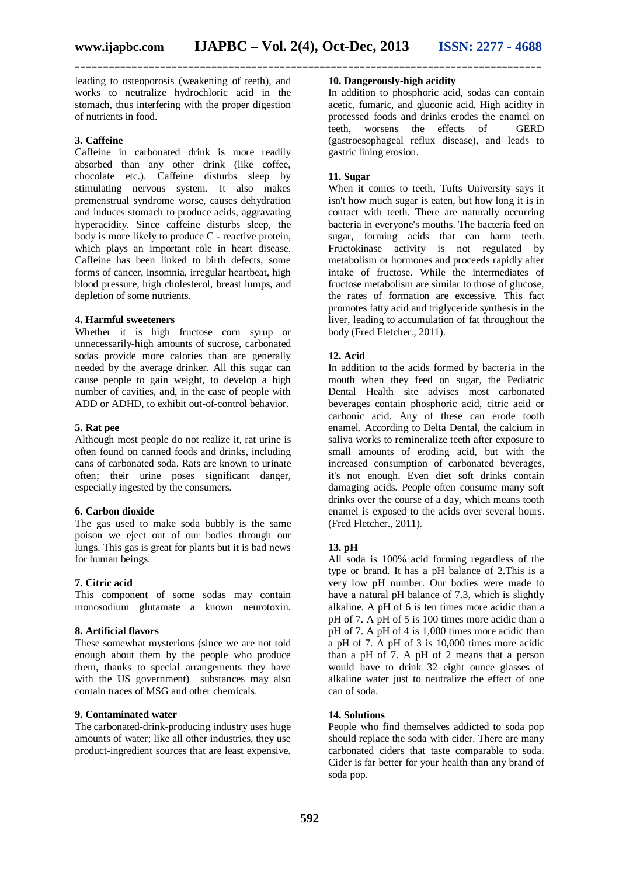leading to osteoporosis (weakening of teeth), and works to neutralize hydrochloric acid in the stomach, thus interfering with the proper digestion of nutrients in food.

#### **3. Caffeine**

Caffeine in carbonated drink is more readily absorbed than any other drink (like coffee, chocolate etc.). Caffeine disturbs sleep by stimulating nervous system. It also makes premenstrual syndrome worse, causes dehydration and induces stomach to produce acids, aggravating hyperacidity. Since caffeine disturbs sleep, the body is more likely to produce C - reactive protein. which plays an important role in heart disease. Caffeine has been linked to birth defects, some forms of cancer, insomnia, irregular heartbeat, high blood pressure, high cholesterol, breast lumps, and depletion of some nutrients.

#### **4. Harmful sweeteners**

Whether it is high fructose corn syrup or unnecessarily-high amounts of sucrose, carbonated sodas provide more calories than are generally needed by the average drinker. All this sugar can cause people to gain weight, to develop a high number of cavities, and, in the case of people with ADD or ADHD, to exhibit out-of-control behavior.

#### **5. Rat pee**

Although most people do not realize it, rat urine is often found on canned foods and drinks, including cans of carbonated soda. Rats are known to urinate often; their urine poses significant danger, especially ingested by the consumers.

#### **6. Carbon dioxide**

The gas used to make soda bubbly is the same poison we eject out of our bodies through our lungs. This gas is great for plants but it is bad news for human beings.

#### **7. Citric acid**

This component of some sodas may contain monosodium glutamate a known neurotoxin.

#### **8. Artificial flavors**

These somewhat mysterious (since we are not told enough about them by the people who produce them, thanks to special arrangements they have with the US government) substances may also contain traces of MSG and other chemicals.

#### **9. Contaminated water**

The carbonated-drink-producing industry uses huge amounts of water; like all other industries, they use product-ingredient sources that are least expensive.

#### **10. Dangerously-high acidity**

In addition to phosphoric acid, sodas can contain acetic, fumaric, and gluconic acid. High acidity in processed foods and drinks erodes the enamel on teeth, worsens the effects of GERD (gastroesophageal reflux disease), and leads to gastric lining erosion.

#### **11. Sugar**

When it comes to teeth, Tufts University says it isn't how much sugar is eaten, but how long it is in contact with teeth. There are naturally occurring bacteria in everyone's mouths. The bacteria feed on sugar, forming acids that can harm teeth. Fructokinase activity is not regulated by metabolism or hormones and proceeds rapidly after intake of fructose. While the intermediates of fructose metabolism are similar to those of glucose, the rates of formation are excessive. This fact promotes fatty acid and triglyceride synthesis in the liver, leading to accumulation of fat throughout the body (Fred Fletcher., 2011).

#### **12. Acid**

In addition to the acids formed by bacteria in the mouth when they feed on sugar, the Pediatric Dental Health site advises most carbonated beverages contain phosphoric acid, citric acid or carbonic acid. Any of these can erode tooth enamel. According to Delta Dental, the calcium in saliva works to remineralize teeth after exposure to small amounts of eroding acid, but with the increased consumption of carbonated beverages, it's not enough. Even diet soft drinks contain damaging acids. People often consume many soft drinks over the course of a day, which means tooth enamel is exposed to the acids over several hours. (Fred Fletcher., 2011).

#### **13. pH**

All soda is 100% acid forming regardless of the type or brand. It has a pH balance of 2.This is a very low pH number. Our bodies were made to have a natural pH balance of 7.3, which is slightly alkaline. A pH of 6 is ten times more acidic than a pH of 7. A pH of 5 is 100 times more acidic than a pH of 7. A pH of 4 is 1,000 times more acidic than a pH of 7. A pH of 3 is 10,000 times more acidic than a pH of 7. A pH of 2 means that a person would have to drink 32 eight ounce glasses of alkaline water just to neutralize the effect of one can of soda.

#### **14. Solutions**

People who find themselves addicted to soda pop should replace the soda with cider. There are many carbonated ciders that taste comparable to soda. Cider is far better for your health than any brand of soda pop.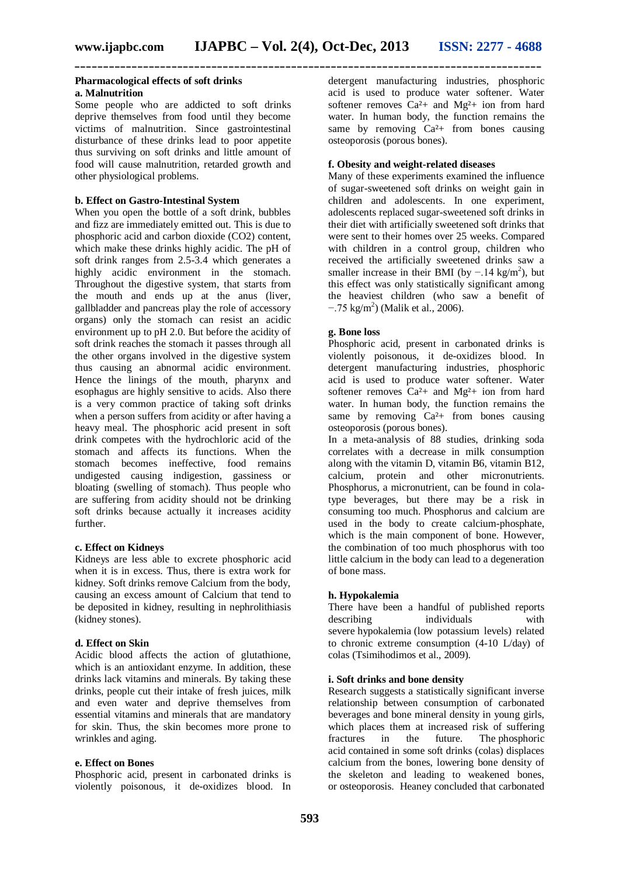#### **Pharmacological effects of soft drinks a. Malnutrition**

Some people who are addicted to soft drinks deprive themselves from food until they become victims of malnutrition. Since gastrointestinal disturbance of these drinks lead to poor appetite thus surviving on soft drinks and little amount of food will cause malnutrition, retarded growth and other physiological problems.

#### **b. Effect on Gastro-Intestinal System**

When you open the bottle of a soft drink, bubbles and fizz are immediately emitted out. This is due to phosphoric acid and carbon dioxide (CO2) content, which make these drinks highly acidic. The pH of soft drink ranges from 2.5-3.4 which generates a highly acidic environment in the stomach. Throughout the digestive system, that starts from the mouth and ends up at the anus (liver, gallbladder and pancreas play the role of accessory organs) only the stomach can resist an acidic environment up to pH 2.0. But before the acidity of soft drink reaches the stomach it passes through all the other organs involved in the digestive system thus causing an abnormal acidic environment. Hence the linings of the mouth, pharynx and esophagus are highly sensitive to acids. Also there is a very common practice of taking soft drinks when a person suffers from acidity or after having a heavy meal. The phosphoric acid present in soft drink competes with the hydrochloric acid of the stomach and affects its functions. When the stomach becomes ineffective, food remains undigested causing indigestion, gassiness or bloating (swelling of stomach). Thus people who are suffering from acidity should not be drinking soft drinks because actually it increases acidity further.

#### **c. Effect on Kidneys**

Kidneys are less able to excrete phosphoric acid when it is in excess. Thus, there is extra work for kidney. Soft drinks remove Calcium from the body, causing an excess amount of Calcium that tend to be deposited in kidney, resulting in nephrolithiasis (kidney stones).

#### **d. Effect on Skin**

Acidic blood affects the action of glutathione, which is an antioxidant enzyme. In addition, these drinks lack vitamins and minerals. By taking these drinks, people cut their intake of fresh juices, milk and even water and deprive themselves from essential vitamins and minerals that are mandatory for skin. Thus, the skin becomes more prone to wrinkles and aging.

#### **e. Effect on Bones**

Phosphoric acid, present in carbonated drinks is violently poisonous, it de-oxidizes blood. In detergent manufacturing industries, phosphoric acid is used to produce water softener. Water softener removes  $Ca^{2}+$  and  $Mg^{2}+$  ion from hard water. In human body, the function remains the same by removing  $Ca<sup>2</sup>$  from bones causing osteoporosis (porous bones).

#### **f. Obesity and weight-related diseases**

Many of these experiments examined the influence of sugar-sweetened soft drinks on weight gain in children and adolescents. In one experiment, adolescents replaced sugar-sweetened soft drinks in their diet with artificially sweetened soft drinks that were sent to their homes over 25 weeks. Compared with children in a control group, children who received the artificially sweetened drinks saw a smaller increase in their BMI (by  $-.14 \text{ kg/m}^2$ ), but this effect was only statistically significant among the heaviest children (who saw a benefit of  $-.75 \text{ kg/m}^2$ ) (Malik et al., 2006).

#### **g. Bone loss**

Phosphoric acid, present in carbonated drinks is violently poisonous, it de-oxidizes blood. In detergent manufacturing industries, phosphoric acid is used to produce water softener. Water softener removes  $Ca^{2}+$  and Mg<sup>2</sup>+ ion from hard water. In human body, the function remains the same by removing  $Ca<sup>2</sup>$  from bones causing osteoporosis (porous bones).

In a meta-analysis of 88 studies, drinking soda correlates with a decrease in milk consumption along with the vitamin D, vitamin B6, vitamin B12, calcium, protein and other micronutrients. Phosphorus, a micronutrient, can be found in colatype beverages, but there may be a risk in consuming too much. Phosphorus and calcium are used in the body to create calcium-phosphate, which is the main component of bone. However, the combination of too much phosphorus with too little calcium in the body can lead to a degeneration of bone mass.

#### **h. Hypokalemia**

There have been a handful of published reports describing individuals with severe hypokalemia (low potassium levels) related to chronic extreme consumption (4-10 L/day) of colas (Tsimihodimos et al., 2009).

#### **i. Soft drinks and bone density**

Research suggests a statistically significant inverse relationship between consumption of carbonated beverages and bone mineral density in young girls, which places them at increased risk of suffering fractures in the future. The phosphoric acid contained in some soft drinks (colas) displaces calcium from the bones, lowering bone density of the skeleton and leading to weakened bones, or osteoporosis. Heaney concluded that carbonated